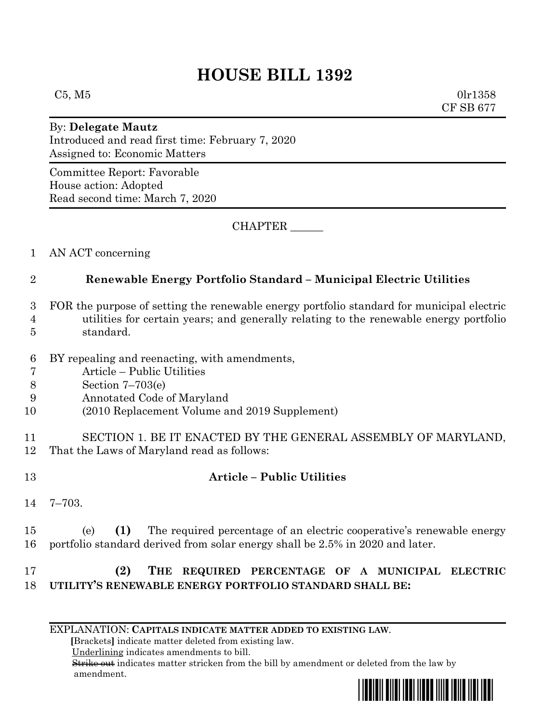## **HOUSE BILL 1392**

 $C5, M5$  0lr1358 CF SB 677

## By: **Delegate Mautz**

Introduced and read first time: February 7, 2020 Assigned to: Economic Matters

Committee Report: Favorable House action: Adopted Read second time: March 7, 2020

CHAPTER \_\_\_\_\_\_

1 AN ACT concerning

## 2 **Renewable Energy Portfolio Standard – Municipal Electric Utilities**

- 3 FOR the purpose of setting the renewable energy portfolio standard for municipal electric
- 4 utilities for certain years; and generally relating to the renewable energy portfolio 5 standard.
- 
- 6 BY repealing and reenacting, with amendments,
- 7 Article Public Utilities
- 8 Section 7–703(e)
- 9 Annotated Code of Maryland
- 10 (2010 Replacement Volume and 2019 Supplement)

11 SECTION 1. BE IT ENACTED BY THE GENERAL ASSEMBLY OF MARYLAND, 12 That the Laws of Maryland read as follows:

- 13 **Article – Public Utilities**
- 14 7–703.

15 (e) **(1)** The required percentage of an electric cooperative's renewable energy 16 portfolio standard derived from solar energy shall be 2.5% in 2020 and later.

## 17 **(2) THE REQUIRED PERCENTAGE OF A MUNICIPAL ELECTRIC**  18 **UTILITY'S RENEWABLE ENERGY PORTFOLIO STANDARD SHALL BE:**

EXPLANATION: **CAPITALS INDICATE MATTER ADDED TO EXISTING LAW**.

 **[**Brackets**]** indicate matter deleted from existing law.

Underlining indicates amendments to bill.

 Strike out indicates matter stricken from the bill by amendment or deleted from the law by amendment.